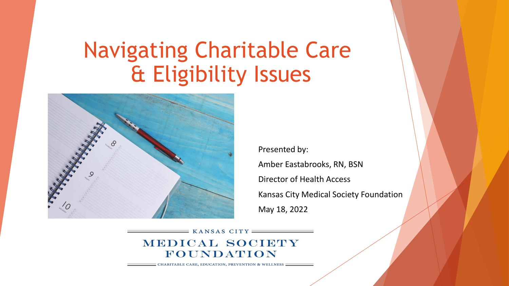# Navigating Charitable Care & Eligibility Issues



Presented by: Amber Eastabrooks, RN, BSN Director of Health Access Kansas City Medical Society Foundation May 18, 2022

#### KANSAS CITY MEDICAL SOCIETY FOUNDATION

CHARITABLE CARE, EDUCATION, PREVENTION & WELLNESS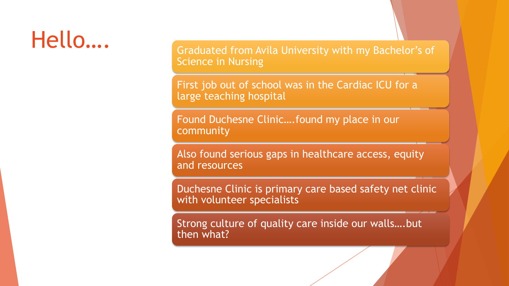Hello…. Graduated from Avila University with my Bachelor's of Science in Nursing

> First job out of school was in the Cardiac ICU for a large teaching hospital

Found Duchesne Clinic….found my place in our community

Also found serious gaps in healthcare access, equity and resources

Duchesne Clinic is primary care based safety net clinic with volunteer specialists

Strong culture of quality care inside our walls….but then what?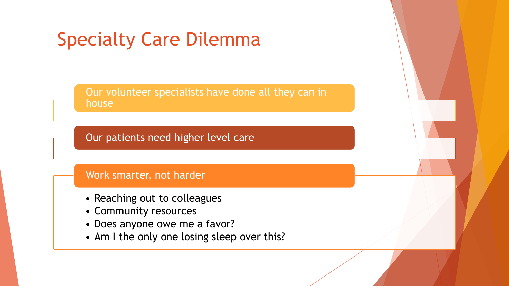# Specialty Care Dilemma

Our volunteer specialists have done all they can in house

Our patients need higher level care

#### Work smarter, not harder

- Reaching out to colleagues
- Community resources
- Does anyone owe me a favor?
- Am I the only one losing sleep over this?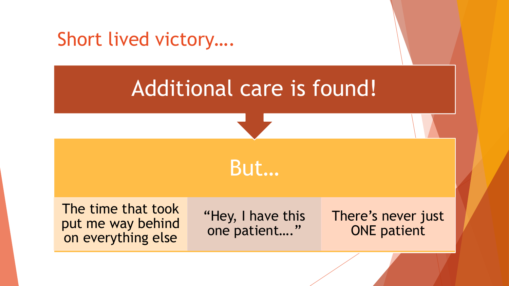Short lived victory….

# Additional care is found!



But…

The time that took put me way behind on everything else

"Hey, I have this one patient…."

There's never just ONE patient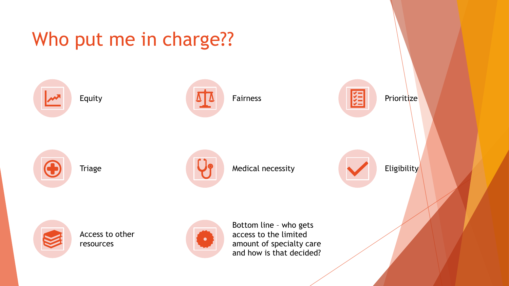## Who put me in charge??









Triage **Medical necessity Medical necessity Eligibility** 



 $\bullet$ 

Bottom line – who gets access to the limited amount of specialty care and how is that decided?



Access to other resources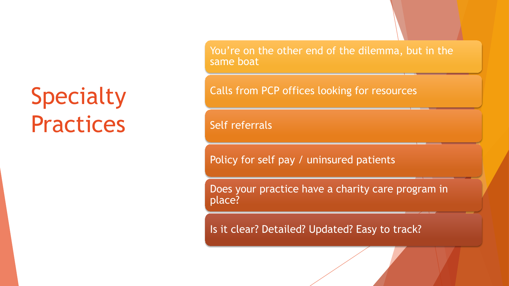# Specialty Practices

You're on the other end of the dilemma, but in the same boat

Calls from PCP offices looking for resources

Self referrals

Policy for self pay / uninsured patients

Does your practice have a charity care program in place?

Is it clear? Detailed? Updated? Easy to track?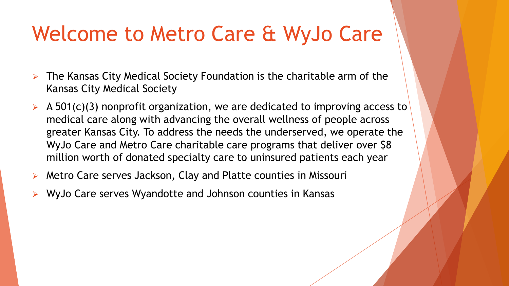# Welcome to Metro Care & WyJo Care

- The Kansas City Medical Society Foundation is the charitable arm of the Kansas City Medical Society
- $\triangleright$  A 501(c)(3) nonprofit organization, we are dedicated to improving access to medical care along with advancing the overall wellness of people across greater Kansas City. To address the needs the underserved, we operate the WyJo Care and Metro Care charitable care programs that deliver over \$8 million worth of donated specialty care to uninsured patients each year
- Metro Care serves Jackson, Clay and Platte counties in Missouri
- WyJo Care serves Wyandotte and Johnson counties in Kansas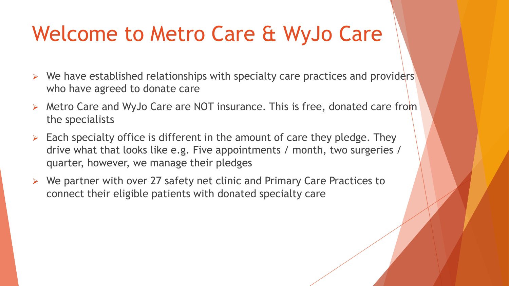# Welcome to Metro Care & WyJo Care

- $\triangleright$  We have established relationships with specialty care practices and providers who have agreed to donate care
- ▶ Metro Care and WyJo Care are NOT insurance. This is free, donated care from the specialists
- $\triangleright$  Each specialty office is different in the amount of care they pledge. They drive what that looks like e.g. Five appointments / month, two surgeries / quarter, however, we manage their pledges
- $\triangleright$  We partner with over 27 safety net clinic and Primary Care Practices to connect their eligible patients with donated specialty care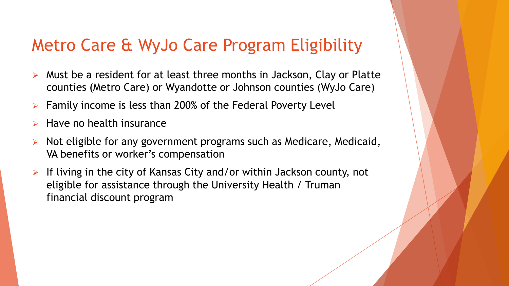### Metro Care & WyJo Care Program Eligibility

- Must be a resident for at least three months in Jackson, Clay or Platte counties (Metro Care) or Wyandotte or Johnson counties (WyJo Care)
- Family income is less than 200% of the Federal Poverty Level
- Have no health insurance
- Not eligible for any government programs such as Medicare, Medicaid, VA benefits or worker's compensation
- If living in the city of Kansas City and/or within Jackson county, not eligible for assistance through the University Health / Truman financial discount program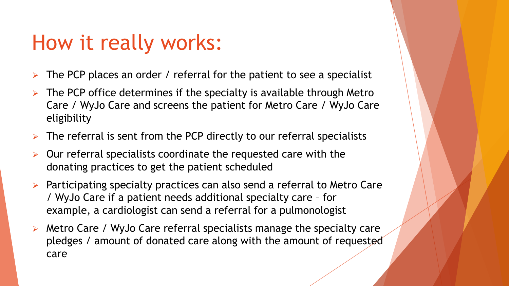# How it really works:

- The PCP places an order / referral for the patient to see a specialist
- $\triangleright$  The PCP office determines if the specialty is available through Metro Care / WyJo Care and screens the patient for Metro Care / WyJo Care eligibility
- $\triangleright$  The referral is sent from the PCP directly to our referral specialists
- $\triangleright$  Our referral specialists coordinate the requested care with the donating practices to get the patient scheduled
- $\triangleright$  Participating specialty practices can also send a referral to Metro Care / WyJo Care if a patient needs additional specialty care – for example, a cardiologist can send a referral for a pulmonologist
- Metro Care / WyJo Care referral specialists manage the specialty care pledges / amount of donated care along with the amount of requested care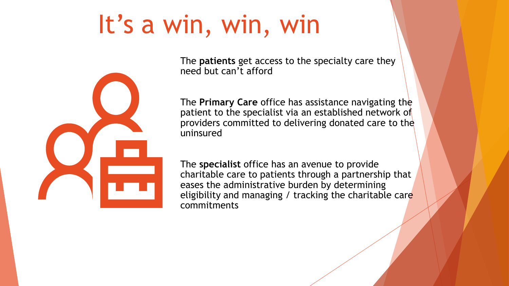# It's a win, win, win



The **patients** get access to the specialty care they need but can't afford

The **Primary Care** office has assistance navigating the patient to the specialist via an established network of providers committed to delivering donated care to the uninsured

The **specialist** office has an avenue to provide charitable care to patients through a partnership that eases the administrative burden by determining eligibility and managing / tracking the charitable care commitments